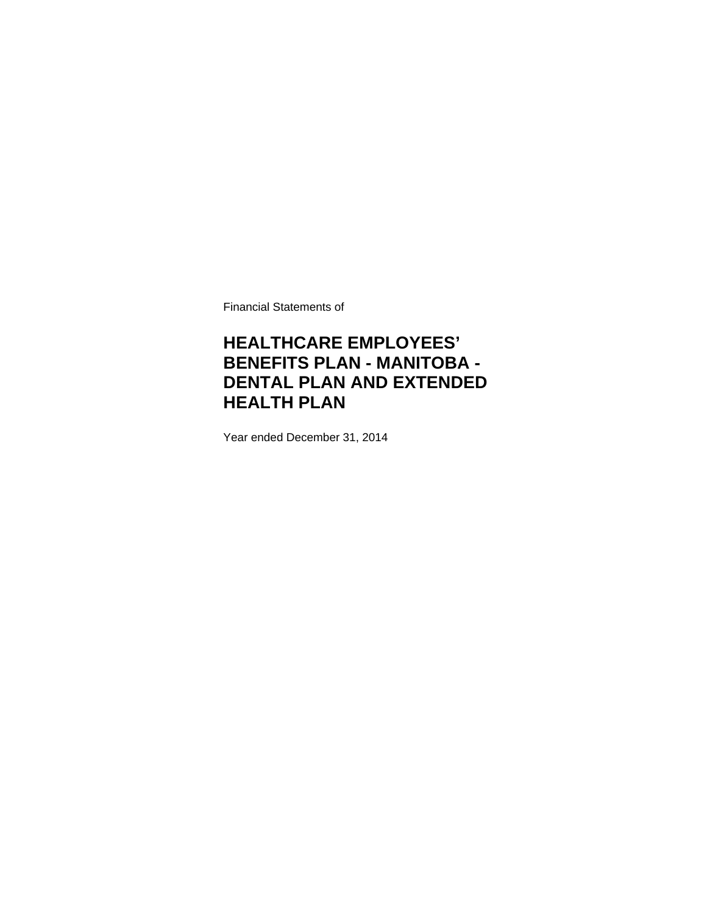Financial Statements of

# **HEALTHCARE EMPLOYEES' BENEFITS PLAN - MANITOBA - DENTAL PLAN AND EXTENDED HEALTH PLAN**

Year ended December 31, 2014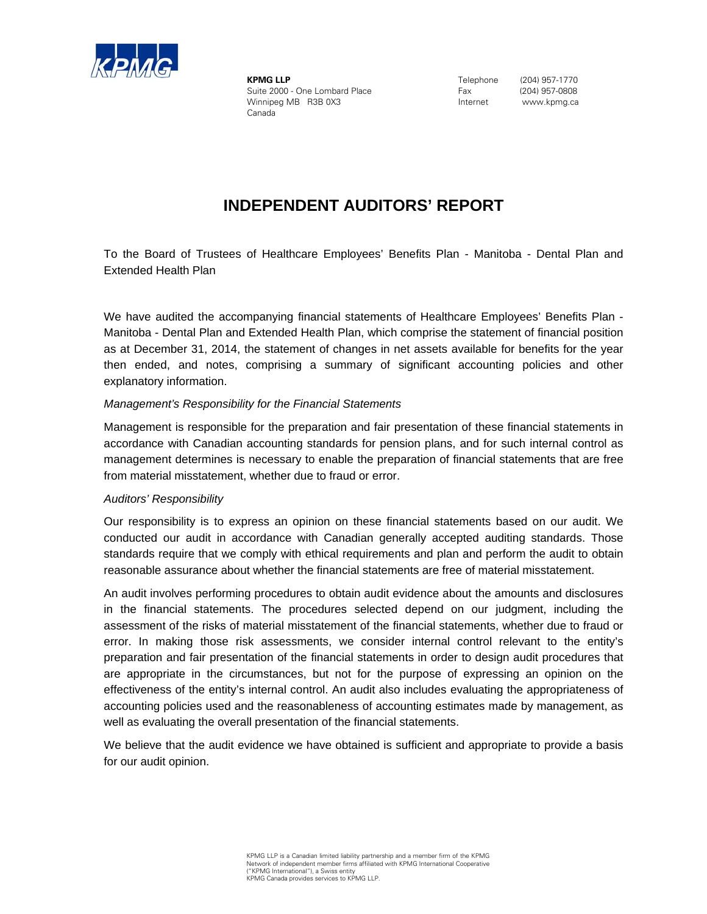

**KPMG LLP** Suite 2000 - One Lombard Place Winnipeg MB R3B 0X3 Canada

 Telephone (204) 957-1770 Fax (204) 957-0808 Internet www.kpmg.ca

# **INDEPENDENT AUDITORS' REPORT**

Extended Health Plan To the Board of Trustees of Healthcare Employees' Benefits Plan - Manitoba - Dental Plan and

We have audited the accompanying financial statements of Healthcare Employees' Benefits Plan -Manitoba - Dental Plan and Extended Health Plan, which comprise the statement of financial position as at December 31, 2014, the statement of changes in net assets available for benefits for the year then ended, and notes, comprising a summary of significant accounting policies and other explanatory information.

### *Management's Responsibility for the Financial Statements*

Management is responsible for the preparation and fair presentation of these financial statements in accordance with Canadian accounting standards for pension plans, and for such internal control as management determines is necessary to enable the preparation of financial statements that are free from material misstatement, whether due to fraud or error.

#### *Auditors' Responsibility*

Our responsibility is to express an opinion on these financial statements based on our audit. We conducted our audit in accordance with Canadian generally accepted auditing standards. Those standards require that we comply with ethical requirements and plan and perform the audit to obtain reasonable assurance about whether the financial statements are free of material misstatement.

An audit involves performing procedures to obtain audit evidence about the amounts and disclosures in the financial statements. The procedures selected depend on our judgment, including the assessment of the risks of material misstatement of the financial statements, whether due to fraud or error. In making those risk assessments, we consider internal control relevant to the entity's preparation and fair presentation of the financial statements in order to design audit procedures that are appropriate in the circumstances, but not for the purpose of expressing an opinion on the effectiveness of the entity's internal control. An audit also includes evaluating the appropriateness of accounting policies used and the reasonableness of accounting estimates made by management, as well as evaluating the overall presentation of the financial statements.

We believe that the audit evidence we have obtained is sufficient and appropriate to provide a basis for our audit opinion.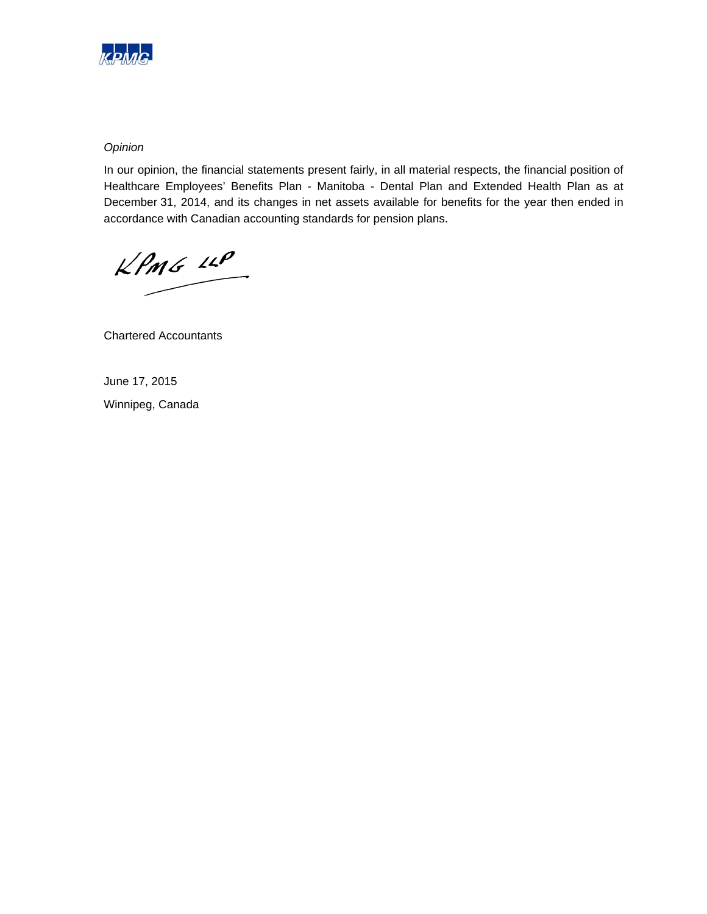

### *Opinion*

In our opinion, the financial statements present fairly, in all material respects, the financial position of Healthcare Employees' Benefits Plan - Manitoba - Dental Plan and Extended Health Plan as at December 31, 2014, and its changes in net assets available for benefits for the year then ended in accordance with Canadian accounting standards for pension plans.

 $KPMG$  11P

Chartered Accountants

June 17, 2015 Winnipeg, Canada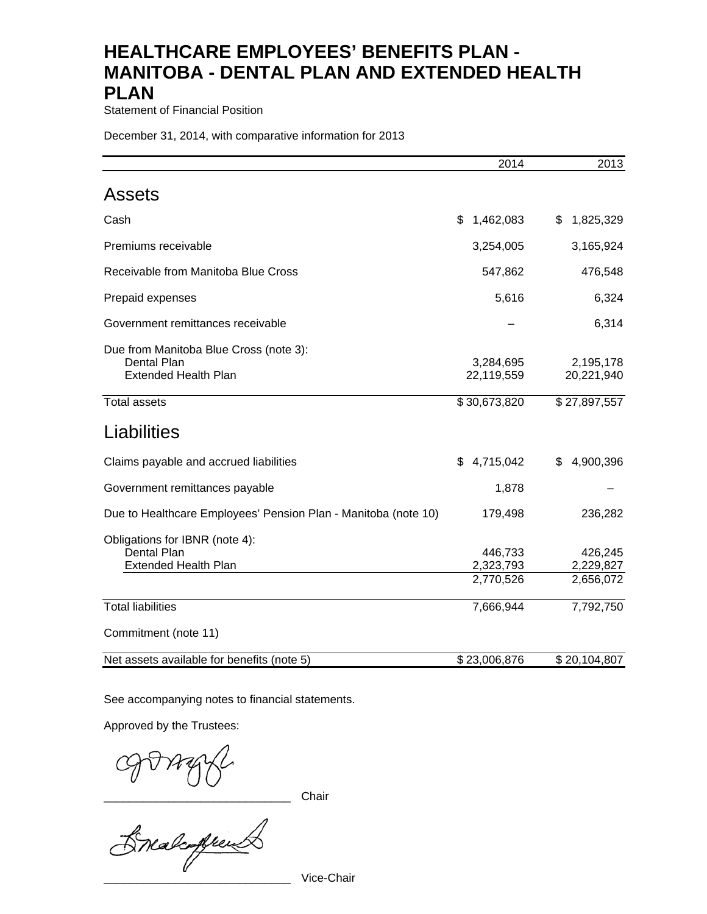Statement of Financial Position

December 31, 2014, with comparative information for 2013

|                                                                                             | 2014                              | 2013                              |
|---------------------------------------------------------------------------------------------|-----------------------------------|-----------------------------------|
| <b>Assets</b>                                                                               |                                   |                                   |
| Cash                                                                                        | 1,462,083<br>\$                   | 1,825,329<br>\$                   |
| Premiums receivable                                                                         | 3,254,005                         | 3,165,924                         |
| Receivable from Manitoba Blue Cross                                                         | 547,862                           | 476,548                           |
| Prepaid expenses                                                                            | 5,616                             | 6,324                             |
| Government remittances receivable                                                           |                                   | 6,314                             |
| Due from Manitoba Blue Cross (note 3):<br><b>Dental Plan</b><br><b>Extended Health Plan</b> | 3,284,695<br>22,119,559           | 2,195,178<br>20,221,940           |
| <b>Total assets</b>                                                                         | \$30,673,820                      | \$27,897,557                      |
| Liabilities                                                                                 |                                   |                                   |
| Claims payable and accrued liabilities                                                      | \$4,715,042                       | \$<br>4,900,396                   |
| Government remittances payable                                                              | 1,878                             |                                   |
| Due to Healthcare Employees' Pension Plan - Manitoba (note 10)                              | 179,498                           | 236,282                           |
| Obligations for IBNR (note 4):<br>Dental Plan<br><b>Extended Health Plan</b>                | 446,733<br>2,323,793<br>2,770,526 | 426,245<br>2,229,827<br>2,656,072 |
| <b>Total liabilities</b>                                                                    | 7,666,944                         | 7,792,750                         |
| Commitment (note 11)                                                                        |                                   |                                   |
| Net assets available for benefits (note 5)                                                  | \$23,006,876                      | \$20,104,807                      |

See accompanying notes to financial statements.

Approved by the Trustees:

COVAYYL

\_\_\_\_\_\_\_\_\_\_\_\_\_\_\_\_\_\_\_\_\_\_\_\_\_\_\_\_\_ Vice-Chair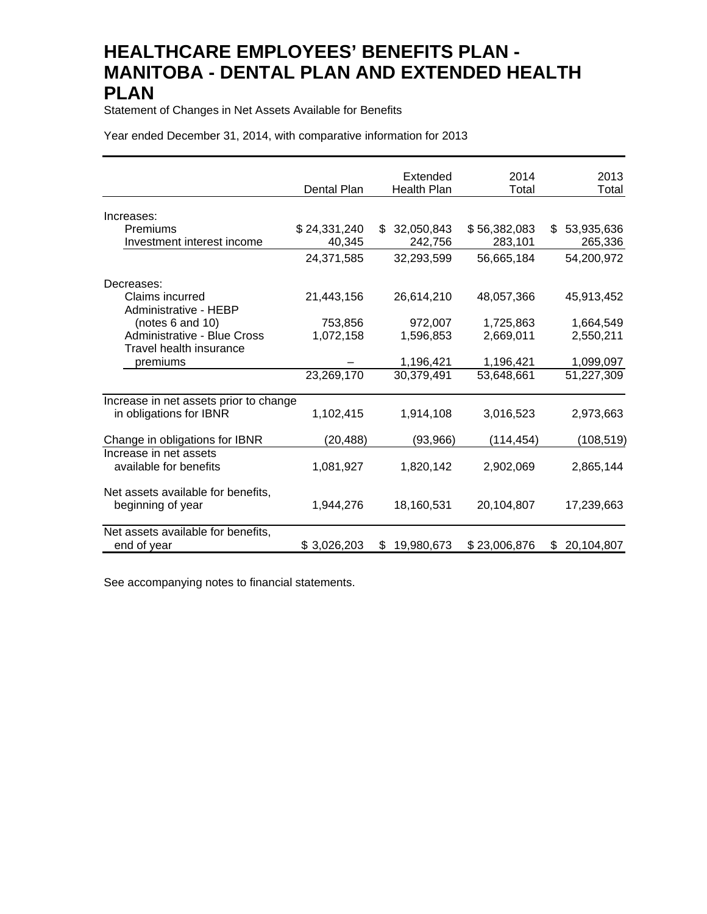Statement of Changes in Net Assets Available for Benefits

Year ended December 31, 2014, with comparative information for 2013

|                                                         |              | Extended           | 2014         | 2013             |
|---------------------------------------------------------|--------------|--------------------|--------------|------------------|
|                                                         | Dental Plan  | <b>Health Plan</b> | Total        | Total            |
| Increases:                                              |              |                    |              |                  |
| Premiums                                                | \$24,331,240 | 32,050,843<br>\$   | \$56,382,083 | 53,935,636<br>\$ |
| Investment interest income                              | 40,345       | 242,756            | 283,101      | 265,336          |
|                                                         | 24,371,585   | 32,293,599         | 56,665,184   | 54,200,972       |
| Decreases:                                              |              |                    |              |                  |
| Claims incurred<br>Administrative - HEBP                | 21,443,156   | 26,614,210         | 48,057,366   | 45,913,452       |
| (notes 6 and 10)                                        | 753,856      | 972,007            | 1,725,863    | 1,664,549        |
| <b>Administrative - Blue Cross</b>                      | 1,072,158    | 1,596,853          | 2,669,011    | 2,550,211        |
| Travel health insurance                                 |              |                    |              |                  |
| premiums                                                |              | 1,196,421          | 1,196,421    | 1,099,097        |
|                                                         | 23,269,170   | 30,379,491         | 53,648,661   | 51,227,309       |
| Increase in net assets prior to change                  |              |                    |              |                  |
| in obligations for IBNR                                 | 1,102,415    | 1,914,108          | 3,016,523    | 2,973,663        |
| Change in obligations for IBNR                          | (20,488)     | (93, 966)          | (114, 454)   | (108, 519)       |
| Increase in net assets<br>available for benefits        | 1,081,927    | 1,820,142          | 2,902,069    | 2,865,144        |
| Net assets available for benefits,<br>beginning of year | 1,944,276    | 18,160,531         | 20,104,807   | 17,239,663       |
| Net assets available for benefits,<br>end of year       | \$3,026,203  | 19,980,673<br>\$   | \$23,006,876 | 20,104,807<br>\$ |

See accompanying notes to financial statements.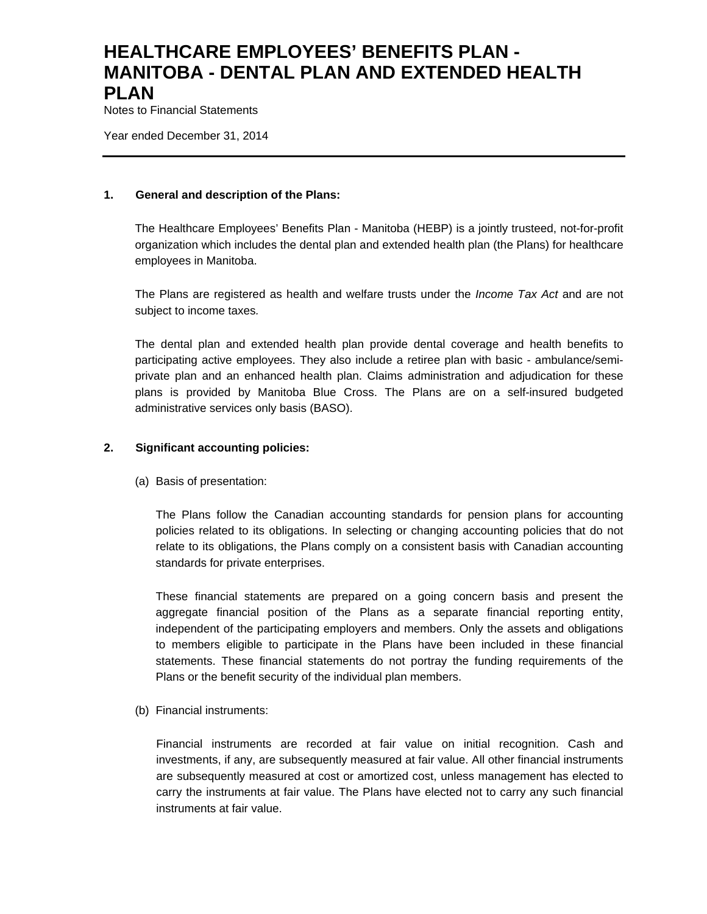Notes to Financial Statements

Year ended December 31, 2014

### **1. General and description of the Plans:**

The Healthcare Employees' Benefits Plan - Manitoba (HEBP) is a jointly trusteed, not-for-profit organization which includes the dental plan and extended health plan (the Plans) for healthcare employees in Manitoba.

The Plans are registered as health and welfare trusts under the *Income Tax Act* and are not subject to income taxes*.*

The dental plan and extended health plan provide dental coverage and health benefits to participating active employees. They also include a retiree plan with basic - ambulance/semiprivate plan and an enhanced health plan. Claims administration and adjudication for these plans is provided by Manitoba Blue Cross. The Plans are on a self-insured budgeted administrative services only basis (BASO).

### **2. Significant accounting policies:**

(a) Basis of presentation:

The Plans follow the Canadian accounting standards for pension plans for accounting policies related to its obligations. In selecting or changing accounting policies that do not relate to its obligations, the Plans comply on a consistent basis with Canadian accounting standards for private enterprises.

These financial statements are prepared on a going concern basis and present the aggregate financial position of the Plans as a separate financial reporting entity, independent of the participating employers and members. Only the assets and obligations to members eligible to participate in the Plans have been included in these financial statements. These financial statements do not portray the funding requirements of the Plans or the benefit security of the individual plan members.

(b) Financial instruments:

Financial instruments are recorded at fair value on initial recognition. Cash and investments, if any, are subsequently measured at fair value. All other financial instruments are subsequently measured at cost or amortized cost, unless management has elected to carry the instruments at fair value. The Plans have elected not to carry any such financial instruments at fair value.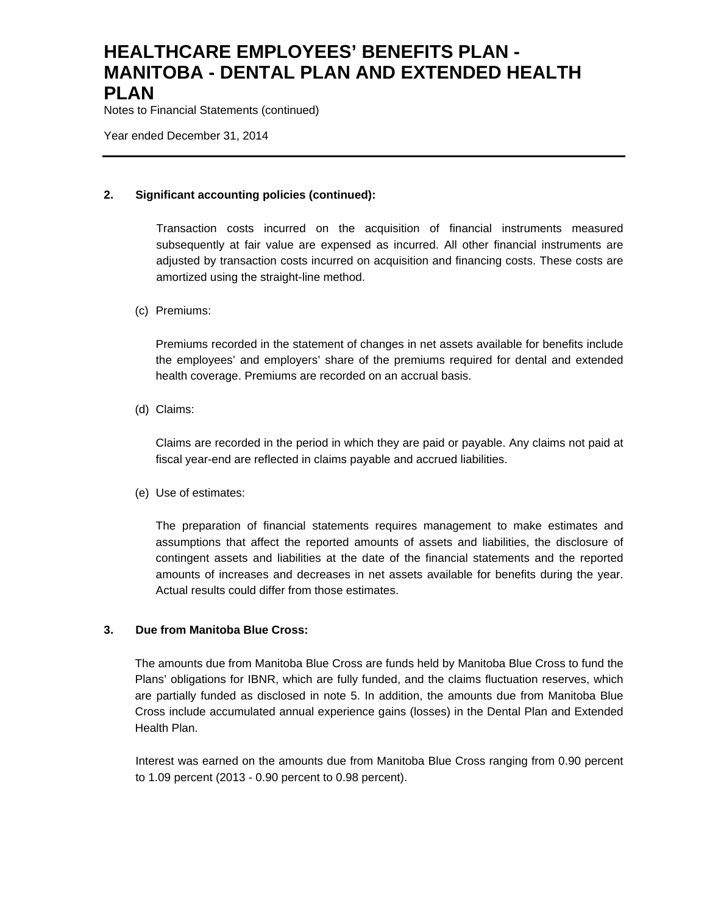Notes to Financial Statements (continued)

Year ended December 31, 2014

## **2. Significant accounting policies (continued):**

Transaction costs incurred on the acquisition of financial instruments measured subsequently at fair value are expensed as incurred. All other financial instruments are adjusted by transaction costs incurred on acquisition and financing costs. These costs are amortized using the straight-line method.

## (c) Premiums:

Premiums recorded in the statement of changes in net assets available for benefits include the employees' and employers' share of the premiums required for dental and extended health coverage. Premiums are recorded on an accrual basis.

(d) Claims:

Claims are recorded in the period in which they are paid or payable. Any claims not paid at fiscal year-end are reflected in claims payable and accrued liabilities.

(e) Use of estimates:

The preparation of financial statements requires management to make estimates and assumptions that affect the reported amounts of assets and liabilities, the disclosure of contingent assets and liabilities at the date of the financial statements and the reported amounts of increases and decreases in net assets available for benefits during the year. Actual results could differ from those estimates.

## **3. Due from Manitoba Blue Cross:**

The amounts due from Manitoba Blue Cross are funds held by Manitoba Blue Cross to fund the Plans' obligations for IBNR, which are fully funded, and the claims fluctuation reserves, which are partially funded as disclosed in note 5. In addition, the amounts due from Manitoba Blue Cross include accumulated annual experience gains (losses) in the Dental Plan and Extended Health Plan.

Interest was earned on the amounts due from Manitoba Blue Cross ranging from 0.90 percent to 1.09 percent (2013 - 0.90 percent to 0.98 percent).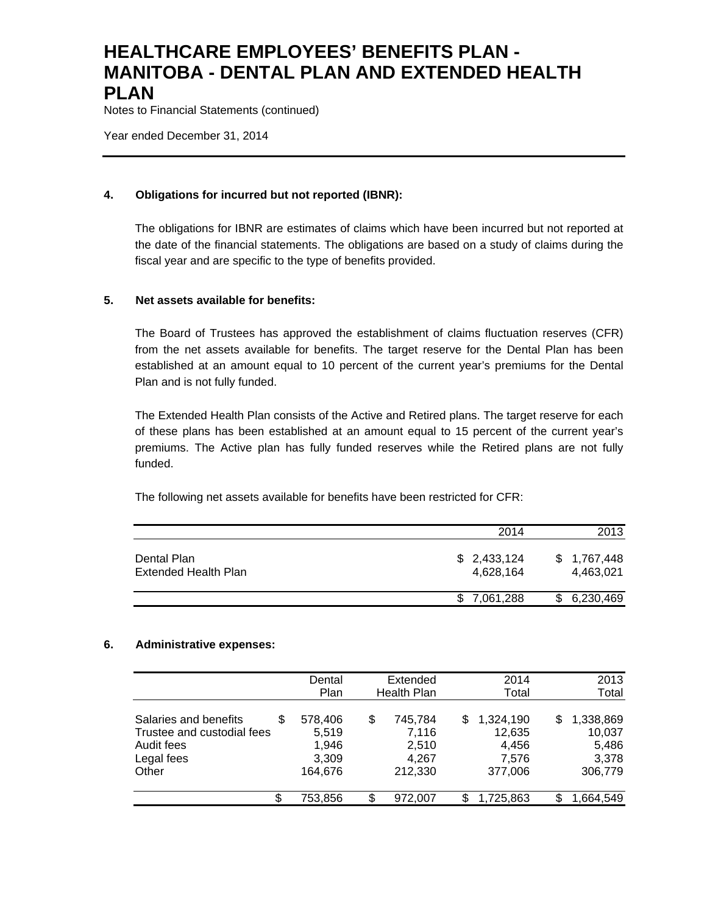Notes to Financial Statements (continued)

Year ended December 31, 2014

### **4. Obligations for incurred but not reported (IBNR):**

The obligations for IBNR are estimates of claims which have been incurred but not reported at the date of the financial statements. The obligations are based on a study of claims during the fiscal year and are specific to the type of benefits provided.

### **5. Net assets available for benefits:**

The Board of Trustees has approved the establishment of claims fluctuation reserves (CFR) from the net assets available for benefits. The target reserve for the Dental Plan has been established at an amount equal to 10 percent of the current year's premiums for the Dental Plan and is not fully funded.

The Extended Health Plan consists of the Active and Retired plans. The target reserve for each of these plans has been established at an amount equal to 15 percent of the current year's premiums. The Active plan has fully funded reserves while the Retired plans are not fully funded.

The following net assets available for benefits have been restricted for CFR:

|                                     | 2014                     | 2013                     |
|-------------------------------------|--------------------------|--------------------------|
| Dental Plan<br>Extended Health Plan | \$2,433,124<br>4,628,164 | \$1,767,448<br>4,463,021 |
|                                     | \$7,061,288              | 6,230,469                |

#### **6. Administrative expenses:**

|                                                                                               | Dental<br>Plan                                | Extended<br><b>Health Plan</b>                      | 2014<br>Total                                         | 2013<br>Total                                         |
|-----------------------------------------------------------------------------------------------|-----------------------------------------------|-----------------------------------------------------|-------------------------------------------------------|-------------------------------------------------------|
| Salaries and benefits<br>S<br>Trustee and custodial fees<br>Audit fees<br>Legal fees<br>Other | 578,406<br>5,519<br>1,946<br>3,309<br>164.676 | \$<br>745,784<br>7,116<br>2.510<br>4.267<br>212.330 | 1,324,190<br>S<br>12,635<br>4,456<br>7.576<br>377,006 | 1,338,869<br>S<br>10,037<br>5,486<br>3,378<br>306,779 |
| \$                                                                                            | 753,856                                       | \$<br>972.007                                       | 1,725,863<br>S                                        | S<br>1,664,549                                        |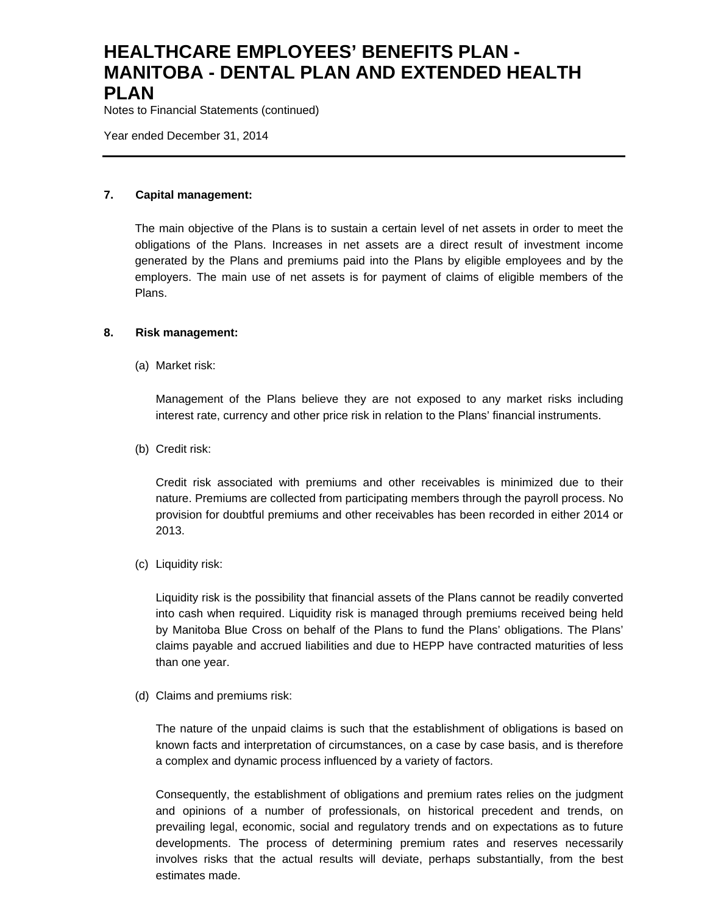Notes to Financial Statements (continued)

Year ended December 31, 2014

## **7. Capital management:**

The main objective of the Plans is to sustain a certain level of net assets in order to meet the obligations of the Plans. Increases in net assets are a direct result of investment income generated by the Plans and premiums paid into the Plans by eligible employees and by the employers. The main use of net assets is for payment of claims of eligible members of the Plans.

### **8. Risk management:**

(a) Market risk:

Management of the Plans believe they are not exposed to any market risks including interest rate, currency and other price risk in relation to the Plans' financial instruments.

(b) Credit risk:

Credit risk associated with premiums and other receivables is minimized due to their nature. Premiums are collected from participating members through the payroll process. No provision for doubtful premiums and other receivables has been recorded in either 2014 or 2013.

(c) Liquidity risk:

Liquidity risk is the possibility that financial assets of the Plans cannot be readily converted into cash when required. Liquidity risk is managed through premiums received being held by Manitoba Blue Cross on behalf of the Plans to fund the Plans' obligations. The Plans' claims payable and accrued liabilities and due to HEPP have contracted maturities of less than one year.

(d) Claims and premiums risk:

The nature of the unpaid claims is such that the establishment of obligations is based on known facts and interpretation of circumstances, on a case by case basis, and is therefore a complex and dynamic process influenced by a variety of factors.

Consequently, the establishment of obligations and premium rates relies on the judgment and opinions of a number of professionals, on historical precedent and trends, on prevailing legal, economic, social and regulatory trends and on expectations as to future developments. The process of determining premium rates and reserves necessarily involves risks that the actual results will deviate, perhaps substantially, from the best estimates made.